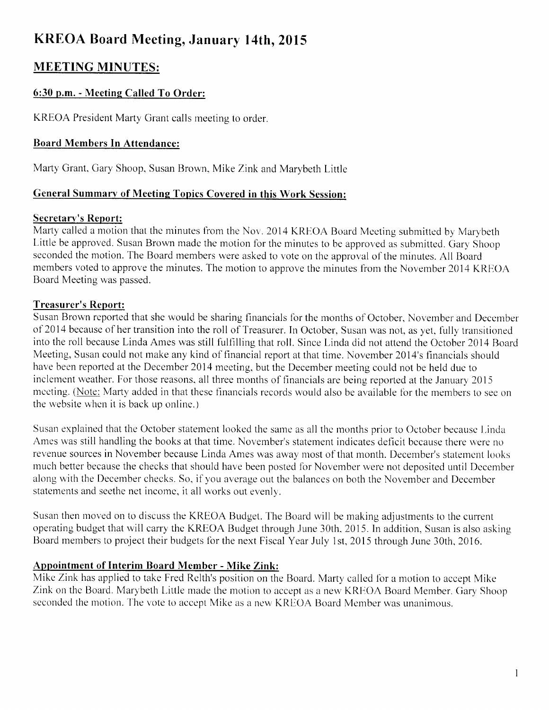# KREOA Board Meeting, January l4th, 2015

# MEETING MINUTES:

# 6:30 p.m. - Meetine Called To Order:

KREOA President Marty Grant calls meeting to order.

## Board Members In Attendance:

Marty Grant, Gary Shoop, Susan Brown, Mike Zink and Marybeth Little

#### General Summary of Meeting Topics Covered in this Work Session:

#### Secretary's Report:

Marty called a motion that the minutes from the Nov. 2014 KREOA Board Meeting submitted by Marybeth Little be approved. Susan Brown made the motion for the minutes to be approved as submitted. Gary Shoop seconded the motion. The Board members were asked to vote on the approval of the minutes. All Board members voted to approve the minutes. The motion to approve the minutes from the November 2014 KREOA Board Meeting was passed.

# Treasurer's Report:

Susan Brown reported that she would be sharing financials for the months of October, November and December of 2014 because of her transition into the roll of Treasurer. In October, Susan was not, as yet, fully transitioned into the roll because Linda Ames was still fulfilling that roll. Since Linda did not attend the October 2014 Board Meeting, Susan could not make any kind of financial report at that time. November 2014's financials should have been reported at the December 2014 meeting, but the December meeting could not be held due to inclement weather. For those reasons, all three months of financials are being reported at the January 2015 meeting. (Note: Marty added in that these financials records would also be available for the members to see on the website whcn it is back up online.)

Susan explained that the October statement looked the same as all the months prior to October because Linda Ames was still handling the books at that time. November's statement indicates deficit because there were no revenue sources in November because Linda Ames was away most of that month. December's statement looks much better because the checks that should have been posted for November were not deposited until December along with the December checks. So, if you average out the balances on both the November and December statements and seethe net income, it all works out evenly.

Susan then moved on to discuss the KREOA Budget. The Board will be making adjustments to the current operating budget that will carry the KREOA Budget through June 30th, 2015. In addition, Susan is also asking Board members to project their budgets for the next Fiscal Year July 1st, 2015 through June 30th, 2016.

# Appointment of Interim Board Member - Mike Zink:

Mike Zink has applied to take Fred Relth's position on the Board. Marty called for a motion to accept Mike Zink on the Board. Marybeth Little made the motion to accept as a new KREOA Board Member. Gary Shoop seconded the motion. The vote to accept Mike as a new KREOA Board Member was unanimous.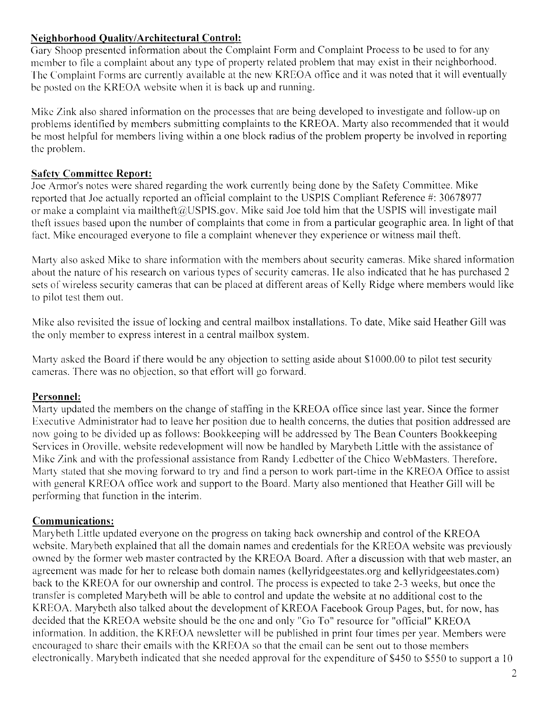#### **Neighborhood Quality/Architectural Control:**

Gary Shoop presented information about the Complaint Form and Complaint Process to be used to for any member to file a complaint about any type of property related problem that may exist in their neighborhood. The Complaint Forms are currently available at the new KREOA office and it was noted that it will eventually be posted on the KREOA website when it is back up and running.

Mike Zink also shared information on the processes that are being developed to investigate and follow-up on problems identified by members submitting complaints to the KREOA. Marty also recommended that it would be most helpful for members living within a one block radius of the problem property be involved in reporting the problem.

# **Safety Committee Report:**

Joe Armor's notes were shared regarding the work currently being done by the Safety Committee. Mike reported that Joe actually reported an official complaint to the USPIS Compliant Reference #: 30678977 or make a complaint via mailtheft@USPIS.gov. Mike said Joe told him that the USPIS will investigate mail theft issues based upon the number of complaints that come in from a particular geographic area. In light of that fact. Mike encouraged everyone to file a complaint whenever they experience or witness mail theft.

Marty also asked Mike to share information with the members about security cameras. Mike shared information about the nature of his research on various types of security cameras. He also indicated that he has purchased 2 sets of wireless security cameras that can be placed at different areas of Kelly Ridge where members would like to pilot test them out.

Mike also revisited the issue of locking and central mailbox installations. To date, Mike said Heather Gill was the only member to express interest in a central mailbox system.

Marty asked the Board if there would be any objection to setting aside about \$1000.00 to pilot test security cameras. There was no objection, so that effort will go forward.

#### Personnel:

Marty updated the members on the change of staffing in the KREOA office since last year. Since the former Executive Administrator had to leave her position due to health concerns, the duties that position addressed are now going to be divided up as follows: Bookkeeping will be addressed by The Bean Counters Bookkeeping Services in Oroville, website redevelopment will now be handled by Marybeth Little with the assistance of Mike Zink and with the professional assistance from Randy Ledbetter of the Chico WebMasters. Therefore, Marty stated that she moving forward to try and find a person to work part-time in the KREOA Office to assist with general KREOA office work and support to the Board. Marty also mentioned that Heather Gill will be performing that function in the interim.

# **Communications:**

Marybeth Little updated everyone on the progress on taking back ownership and control of the KREOA website. Marybeth explained that all the domain names and credentials for the KREOA website was previously owned by the former web master contracted by the KREOA Board. After a discussion with that web master, an agreement was made for her to release both domain names (kellyridgeestates.org and kellyridgeestates.com) back to the KREOA for our ownership and control. The process is expected to take 2-3 weeks, but once the transfer is completed Marybeth will be able to control and update the website at no additional cost to the KREOA. Marybeth also talked about the development of KREOA Facebook Group Pages, but, for now, has decided that the KREOA website should be the one and only "Go To" resource for "official" KREOA information. In addition, the KREOA newsletter will be published in print four times per year. Members were encouraged to share their emails with the KREOA so that the email can be sent out to those members electronically. Marybeth indicated that she needed approval for the expenditure of \$450 to \$550 to support a 10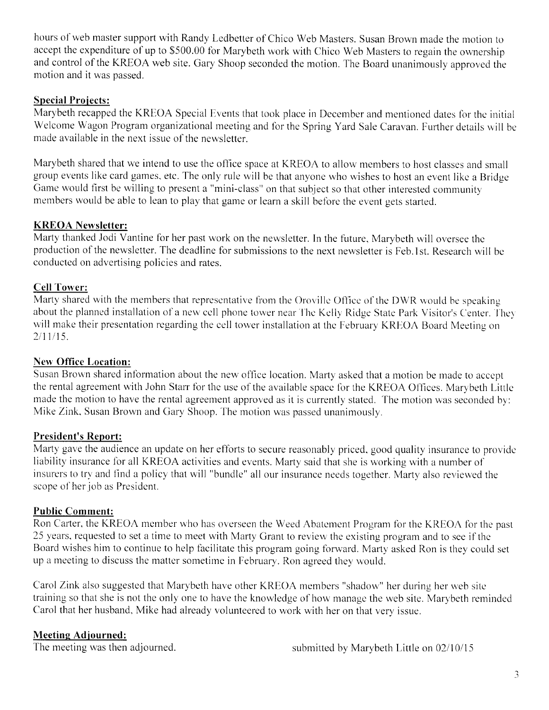hours of web master support with Randy Ledbetter of Chico Web Masters. Susan Brown made the motion to accept the expenditure of up to \$500.00 for Marybeth work with Chico Web Masters to regain the ownership and control of the KREOA web site. Gary Shoop seconded the motion. The Board unanimously approved the motion and it was passed.

#### Special Projects:

Marybeth recapped the KREOA Special Events that took place in December and mentioned dates for the initial Welcome Wagon Program organizational meeting and for the Spring Yard Sale Caravan. Further details will be made available in the next issue of the newsletter.

Marybeth shared that we intend to use the office space at KREOA to allow members to host classes and snrall group events like card games, etc. The only rule will be that anyone who wishes to host an event like a Bridge Game would first be willing to present a "mini-class" on that subject so that other interested community members would be able to lean to play that game or learn a skill before the event gets started.

#### KREOA Newsletter:

Marty thanked Jodi Vantine for her past work on the newsletter. In the future. Marybeth will oversee thc production of the newsletter. The deadline for submissions to the next newsletter is Feb.lst. Research u'ill bc conducted on advertising policies and rates.

#### Cell Tower:

Marty shared with the members that representative from the Oroville Office of the DWR would be speaking about the planned installation of a new cell phone tower near The Kelly Ridge State Park Visitor's Center. They will make their presentation regarding the cell tower installation at the February KREOA Board Meeting on  $2/11/15$ .

#### New Office Location:

Susan Brown shared information about the new office location. Marty asked that a motion be made to accept the rental agreement with John Starr for the use of the available space for the KREOA Offices. Marybeth Little made the motion to have the rental agreement approved as it is currently stated. The motion was seconded by: Mike Zink, Susan Brown and Gary Shoop. The motion was passed unanimously.

#### President's Report:

Marty gave the audience an update on her efforts to secure reasonably priced, good quality insurance to provide liability insurance for all KREOA activities and events. Marty said that she is working with a number of insurers to try and find a policy that will "bundle" all our insurance needs together. Marty also reviewed the scope of her job as President.

#### Public Comment:

Ron Carter, the KREOA member who has overseen the Weed Abatement Program for the KREOA for the past 25 years, requested to set a time to meet with Marty Grant to review the existing program and to see if the Board wishes him to continue to help facilitate this program going forward. Marty asked Ron is they could set up a meeting to discuss the matter sometime in February. Ron agreed they would.

Carol Zink also suggested that Marybeth have other KREOA members "shadow" her during her web site training so that she is not the only one to have the knowledge of how manage the web site. Marybeth reminded Carol that her husband, Mike had already volunteered to work with her on that very issue.

#### Meeting Adiourned: